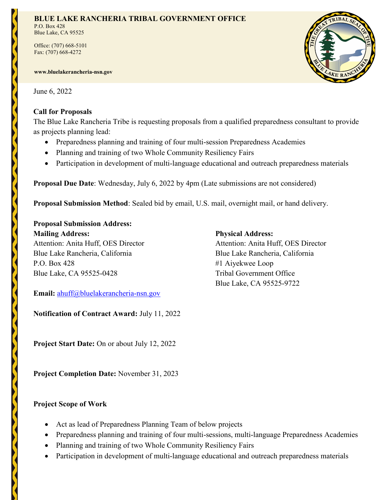### **BLUE LAKE RANCHERIA TRIBAL GOVERNMENT OFFICE**

P.O. Box 428 Blue Lake, CA 95525

Office: (707) 668-5101 Fax: (707) 668-4272

**www.bluelakerancheria-nsn.gov** 

June 6, 2022

## **Call for Proposals**

The Blue Lake Rancheria Tribe is requesting proposals from a qualified preparedness consultant to provide as projects planning lead:

- Preparedness planning and training of four multi-session Preparedness Academies
- Planning and training of two Whole Community Resiliency Fairs
- Participation in development of multi-language educational and outreach preparedness materials

**Proposal Due Date**: Wednesday, July 6, 2022 by 4pm (Late submissions are not considered)

**Proposal Submission Method**: Sealed bid by email, U.S. mail, overnight mail, or hand delivery.

# **Proposal Submission Address:**

**Mailing Address: Physical Address:**  Attention: Anita Huff, OES Director Attention: Anita Huff, OES Director Blue Lake Rancheria, California Blue Lake Rancheria, California P.O. Box 428 #1 Aiyekwee Loop Blue Lake, CA 95525-0428 Tribal Government Office

**Email:** [ahuff@bluelakerancheria-nsn.gov](mailto:ahuff@bluelakerancheria-nsn.gov) 

**Notification of Contract Award:** July 11, 2022

**Project Start Date:** On or about July 12, 2022

**Project Completion Date:** November 31, 2023

## **Project Scope of Work**

- Act as lead of Preparedness Planning Team of below projects
- Preparedness planning and training of four multi-sessions, multi-language Preparedness Academies
- Planning and training of two Whole Community Resiliency Fairs
- Participation in development of multi-language educational and outreach preparedness materials



Blue Lake, CA 95525-9722